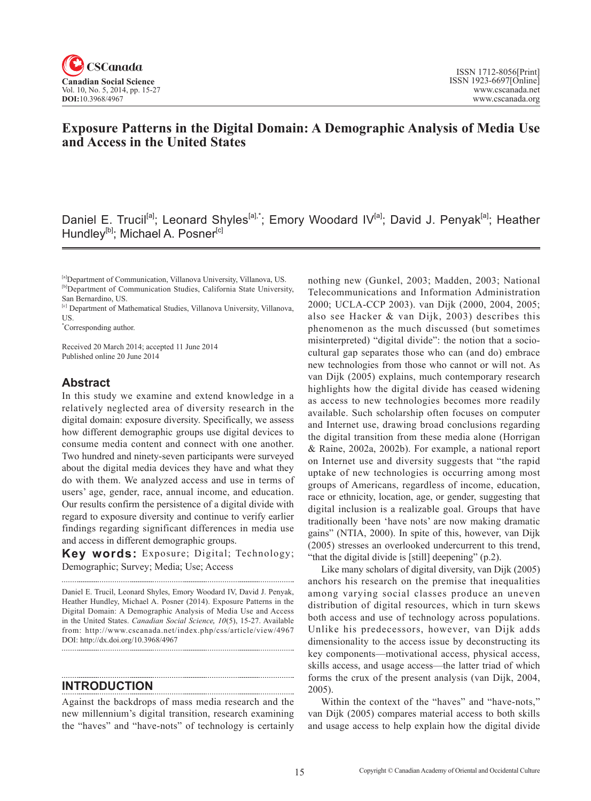

## **Exposure Patterns in the Digital Domain: A Demographic Analysis of Media Use and Access in the United States**

Daniel E. Trucil<sup>[a]</sup>; Leonard Shyles<sup>[a],\*</sup>; Emory Woodard IV<sup>[a]</sup>; David J. Penyak<sup>[a]</sup>; Heather Hundley<sup>[b]</sup>; Michael A. Posner<sup>[c]</sup>

\* Corresponding author.

Received 20 March 2014; accepted 11 June 2014 Published online 20 June 2014

## **Abstract**

In this study we examine and extend knowledge in a relatively neglected area of diversity research in the digital domain: exposure diversity. Specifically, we assess how different demographic groups use digital devices to consume media content and connect with one another. Two hundred and ninety-seven participants were surveyed about the digital media devices they have and what they do with them. We analyzed access and use in terms of users' age, gender, race, annual income, and education. Our results confirm the persistence of a digital divide with regard to exposure diversity and continue to verify earlier findings regarding significant differences in media use and access in different demographic groups.

**Key words:** Exposure; Digital; Technology; Demographic; Survey; Media; Use; Access

Daniel E. Trucil, Leonard Shyles, Emory Woodard IV, David J. Penyak, Heather Hundley, Michael A. Posner (2014). Exposure Patterns in the Digital Domain: A Demographic Analysis of Media Use and Access in the United States. *Canadian Social Science*, <sup>10</sup>(5), 15-27. Available from: http://www.cscanada.net/index.php/css/article/view/4967 DOI: http://dx.doi.org/10.3968/4967

**INTRODUCTION**

Against the backdrops of mass media research and the new millennium's digital transition, research examining the "haves" and "have-nots" of technology is certainly nothing new (Gunkel, 2003; Madden, 2003; National Telecommunications and Information Administration 2000; UCLA-CCP 2003). van Dijk (2000, 2004, 2005; also see Hacker & van Dijk, 2003) describes this phenomenon as the much discussed (but sometimes misinterpreted) "digital divide": the notion that a sociocultural gap separates those who can (and do) embrace new technologies from those who cannot or will not. As van Dijk (2005) explains, much contemporary research highlights how the digital divide has ceased widening as access to new technologies becomes more readily available. Such scholarship often focuses on computer and Internet use, drawing broad conclusions regarding the digital transition from these media alone (Horrigan & Raine, 2002a, 2002b). For example, a national report on Internet use and diversity suggests that "the rapid uptake of new technologies is occurring among most groups of Americans, regardless of income, education, race or ethnicity, location, age, or gender, suggesting that digital inclusion is a realizable goal. Groups that have traditionally been 'have nots' are now making dramatic gains" (NTIA, 2000). In spite of this, however, van Dijk (2005) stresses an overlooked undercurrent to this trend, "that the digital divide is [still] deepening" (p.2).

Like many scholars of digital diversity, van Dijk (2005) anchors his research on the premise that inequalities among varying social classes produce an uneven distribution of digital resources, which in turn skews both access and use of technology across populations. Unlike his predecessors, however, van Dijk adds dimensionality to the access issue by deconstructing its key components—motivational access, physical access, skills access, and usage access—the latter triad of which forms the crux of the present analysis (van Dijk, 2004, 2005).

Within the context of the "haves" and "have-nots," van Dijk (2005) compares material access to both skills and usage access to help explain how the digital divide

<sup>[</sup>a]Department of Communication, Villanova University, Villanova, US. [b]Department of Communication Studies, California State University, San Bernardino, US.

<sup>[</sup>c] Department of Mathematical Studies, Villanova University, Villanova, US.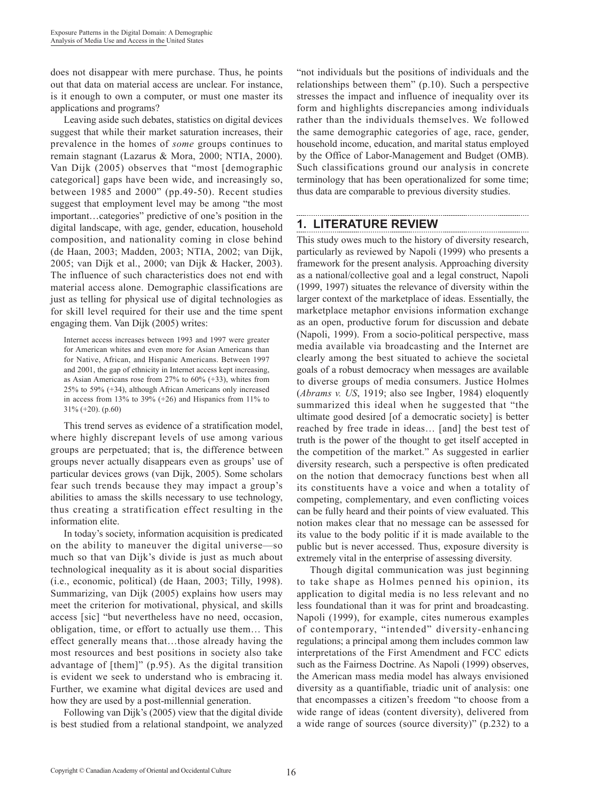does not disappear with mere purchase. Thus, he points out that data on material access are unclear. For instance, is it enough to own a computer, or must one master its applications and programs?

Leaving aside such debates, statistics on digital devices suggest that while their market saturation increases, their prevalence in the homes of *some* groups continues to remain stagnant (Lazarus & Mora, 2000; NTIA, 2000). Van Dijk (2005) observes that "most [demographic categorical] gaps have been wide, and increasingly so, between 1985 and 2000" (pp.49-50). Recent studies suggest that employment level may be among "the most important…categories" predictive of one's position in the digital landscape, with age, gender, education, household composition, and nationality coming in close behind (de Haan, 2003; Madden, 2003; NTIA, 2002; van Dijk, 2005; van Dijk et al., 2000; van Dijk & Hacker, 2003). The influence of such characteristics does not end with material access alone. Demographic classifications are just as telling for physical use of digital technologies as for skill level required for their use and the time spent engaging them. Van Dijk (2005) writes:

Internet access increases between 1993 and 1997 were greater for American whites and even more for Asian Americans than for Native, African, and Hispanic Americans. Between 1997 and 2001, the gap of ethnicity in Internet access kept increasing, as Asian Americans rose from 27% to 60% (+33), whites from 25% to 59% (+34), although African Americans only increased in access from 13% to 39% (+26) and Hispanics from 11% to 31% (+20). (p.60)

This trend serves as evidence of a stratification model, where highly discrepant levels of use among various groups are perpetuated; that is, the difference between groups never actually disappears even as groups' use of particular devices grows (van Dijk, 2005). Some scholars fear such trends because they may impact a group's abilities to amass the skills necessary to use technology, thus creating a stratification effect resulting in the information elite.

In today's society, information acquisition is predicated on the ability to maneuver the digital universe—so much so that van Dijk's divide is just as much about technological inequality as it is about social disparities (i.e., economic, political) (de Haan, 2003; Tilly, 1998). Summarizing, van Dijk (2005) explains how users may meet the criterion for motivational, physical, and skills access [sic] "but nevertheless have no need, occasion, obligation, time, or effort to actually use them… This effect generally means that…those already having the most resources and best positions in society also take advantage of [them]" (p.95). As the digital transition is evident we seek to understand who is embracing it. Further, we examine what digital devices are used and how they are used by a post-millennial generation.

Following van Dijk's (2005) view that the digital divide is best studied from a relational standpoint, we analyzed

"not individuals but the positions of individuals and the relationships between them" (p.10). Such a perspective stresses the impact and influence of inequality over its form and highlights discrepancies among individuals rather than the individuals themselves. We followed the same demographic categories of age, race, gender, household income, education, and marital status employed by the Office of Labor-Management and Budget (OMB). Such classifications ground our analysis in concrete terminology that has been operationalized for some time; thus data are comparable to previous diversity studies.

## **1. LITERATURE REVIEW**

This study owes much to the history of diversity research, particularly as reviewed by Napoli (1999) who presents a framework for the present analysis. Approaching diversity as a national/collective goal and a legal construct, Napoli (1999, 1997) situates the relevance of diversity within the larger context of the marketplace of ideas. Essentially, the marketplace metaphor envisions information exchange as an open, productive forum for discussion and debate (Napoli, 1999). From a socio-political perspective, mass media available via broadcasting and the Internet are clearly among the best situated to achieve the societal goals of a robust democracy when messages are available to diverse groups of media consumers. Justice Holmes (*Abrams v. US*, 1919; also see Ingber, 1984) eloquently summarized this ideal when he suggested that "the ultimate good desired [of a democratic society] is better reached by free trade in ideas… [and] the best test of truth is the power of the thought to get itself accepted in the competition of the market." As suggested in earlier diversity research, such a perspective is often predicated on the notion that democracy functions best when all its constituents have a voice and when a totality of competing, complementary, and even conflicting voices can be fully heard and their points of view evaluated. This notion makes clear that no message can be assessed for its value to the body politic if it is made available to the public but is never accessed. Thus, exposure diversity is extremely vital in the enterprise of assessing diversity.

Though digital communication was just beginning to take shape as Holmes penned his opinion, its application to digital media is no less relevant and no less foundational than it was for print and broadcasting. Napoli (1999), for example, cites numerous examples of contemporary, "intended" diversity-enhancing regulations; a principal among them includes common law interpretations of the First Amendment and FCC edicts such as the Fairness Doctrine. As Napoli (1999) observes, the American mass media model has always envisioned diversity as a quantifiable, triadic unit of analysis: one that encompasses a citizen's freedom "to choose from a wide range of ideas (content diversity), delivered from a wide range of sources (source diversity)" (p.232) to a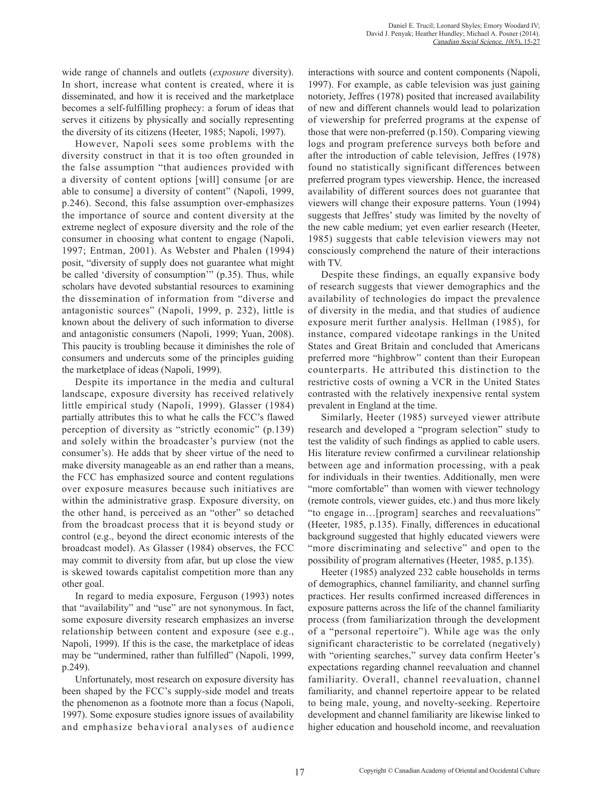wide range of channels and outlets (*exposure* diversity). In short, increase what content is created, where it is disseminated, and how it is received and the marketplace becomes a self-fulfilling prophecy: a forum of ideas that serves it citizens by physically and socially representing the diversity of its citizens (Heeter, 1985; Napoli, 1997).

However, Napoli sees some problems with the diversity construct in that it is too often grounded in the false assumption "that audiences provided with a diversity of content options [will] consume [or are able to consume] a diversity of content" (Napoli, 1999, p.246). Second, this false assumption over-emphasizes the importance of source and content diversity at the extreme neglect of exposure diversity and the role of the consumer in choosing what content to engage (Napoli, 1997; Entman, 2001). As Webster and Phalen (1994) posit, "diversity of supply does not guarantee what might be called 'diversity of consumption'" (p.35). Thus, while scholars have devoted substantial resources to examining the dissemination of information from "diverse and antagonistic sources" (Napoli, 1999, p. 232), little is known about the delivery of such information to diverse and antagonistic consumers (Napoli, 1999; Yuan, 2008). This paucity is troubling because it diminishes the role of consumers and undercuts some of the principles guiding the marketplace of ideas (Napoli, 1999).

Despite its importance in the media and cultural landscape, exposure diversity has received relatively little empirical study (Napoli, 1999). Glasser (1984) partially attributes this to what he calls the FCC's flawed perception of diversity as "strictly economic" (p.139) and solely within the broadcaster's purview (not the consumer's). He adds that by sheer virtue of the need to make diversity manageable as an end rather than a means, the FCC has emphasized source and content regulations over exposure measures because such initiatives are within the administrative grasp. Exposure diversity, on the other hand, is perceived as an "other" so detached from the broadcast process that it is beyond study or control (e.g., beyond the direct economic interests of the broadcast model). As Glasser (1984) observes, the FCC may commit to diversity from afar, but up close the view is skewed towards capitalist competition more than any other goal.

In regard to media exposure, Ferguson (1993) notes that "availability" and "use" are not synonymous. In fact, some exposure diversity research emphasizes an inverse relationship between content and exposure (see e.g., Napoli, 1999). If this is the case, the marketplace of ideas may be "undermined, rather than fulfilled" (Napoli, 1999, p.249).

Unfortunately, most research on exposure diversity has been shaped by the FCC's supply-side model and treats the phenomenon as a footnote more than a focus (Napoli, 1997). Some exposure studies ignore issues of availability and emphasize behavioral analyses of audience

interactions with source and content components (Napoli, 1997). For example, as cable television was just gaining notoriety, Jeffres (1978) posited that increased availability of new and different channels would lead to polarization of viewership for preferred programs at the expense of those that were non-preferred (p.150). Comparing viewing logs and program preference surveys both before and after the introduction of cable television, Jeffres (1978) found no statistically significant differences between preferred program types viewership. Hence, the increased availability of different sources does not guarantee that viewers will change their exposure patterns. Youn (1994) suggests that Jeffres' study was limited by the novelty of the new cable medium; yet even earlier research (Heeter, 1985) suggests that cable television viewers may not consciously comprehend the nature of their interactions with TV.

Despite these findings, an equally expansive body of research suggests that viewer demographics and the availability of technologies do impact the prevalence of diversity in the media, and that studies of audience exposure merit further analysis. Hellman (1985), for instance, compared videotape rankings in the United States and Great Britain and concluded that Americans preferred more "highbrow" content than their European counterparts. He attributed this distinction to the restrictive costs of owning a VCR in the United States contrasted with the relatively inexpensive rental system prevalent in England at the time.

Similarly, Heeter (1985) surveyed viewer attribute research and developed a "program selection" study to test the validity of such findings as applied to cable users. His literature review confirmed a curvilinear relationship between age and information processing, with a peak for individuals in their twenties. Additionally, men were "more comfortable" than women with viewer technology (remote controls, viewer guides, etc.) and thus more likely "to engage in…[program] searches and reevaluations" (Heeter, 1985, p.135). Finally, differences in educational background suggested that highly educated viewers were "more discriminating and selective" and open to the possibility of program alternatives (Heeter, 1985, p.135).

Heeter (1985) analyzed 232 cable households in terms of demographics, channel familiarity, and channel surfing practices. Her results confirmed increased differences in exposure patterns across the life of the channel familiarity process (from familiarization through the development of a "personal repertoire"). While age was the only significant characteristic to be correlated (negatively) with "orienting searches," survey data confirm Heeter's expectations regarding channel reevaluation and channel familiarity. Overall, channel reevaluation, channel familiarity, and channel repertoire appear to be related to being male, young, and novelty-seeking. Repertoire development and channel familiarity are likewise linked to higher education and household income, and reevaluation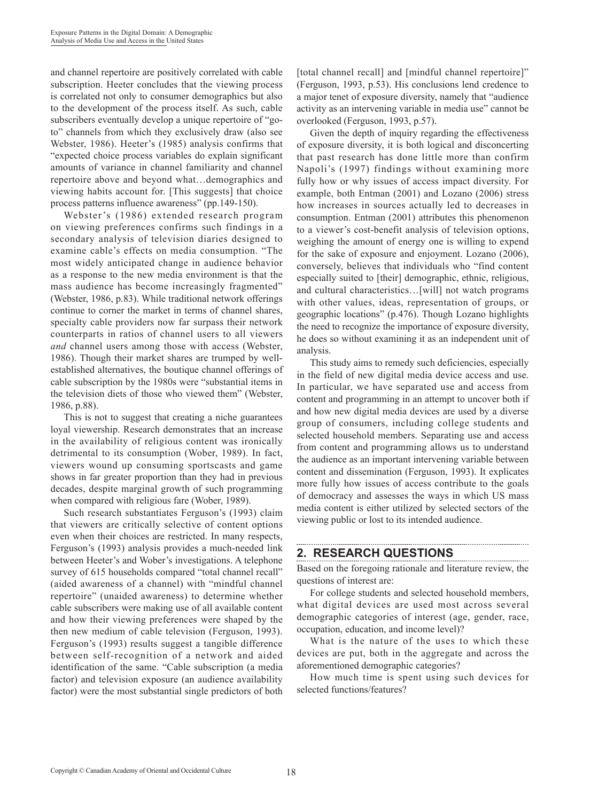and channel repertoire are positively correlated with cable subscription. Heeter concludes that the viewing process is correlated not only to consumer demographics but also to the development of the process itself. As such, cable subscribers eventually develop a unique repertoire of "goto" channels from which they exclusively draw (also see Webster, 1986). Heeter's (1985) analysis confirms that "expected choice process variables do explain significant amounts of variance in channel familiarity and channel repertoire above and beyond what…demographics and viewing habits account for. [This suggests] that choice process patterns influence awareness" (pp.149-150).

Webster's (1986) extended research program on viewing preferences confirms such findings in a secondary analysis of television diaries designed to examine cable's effects on media consumption. "The most widely anticipated change in audience behavior as a response to the new media environment is that the mass audience has become increasingly fragmented" (Webster, 1986, p.83). While traditional network offerings continue to corner the market in terms of channel shares, specialty cable providers now far surpass their network counterparts in ratios of channel users to all viewers *and* channel users among those with access (Webster, 1986). Though their market shares are trumped by wellestablished alternatives, the boutique channel offerings of cable subscription by the 1980s were "substantial items in the television diets of those who viewed them" (Webster, 1986, p.88).

This is not to suggest that creating a niche guarantees loyal viewership. Research demonstrates that an increase in the availability of religious content was ironically detrimental to its consumption (Wober, 1989). In fact, viewers wound up consuming sportscasts and game shows in far greater proportion than they had in previous decades, despite marginal growth of such programming when compared with religious fare (Wober, 1989).

Such research substantiates Ferguson's (1993) claim that viewers are critically selective of content options even when their choices are restricted. In many respects, Ferguson's (1993) analysis provides a much-needed link between Heeter's and Wober's investigations. A telephone survey of 615 households compared "total channel recall" (aided awareness of a channel) with "mindful channel repertoire" (unaided awareness) to determine whether cable subscribers were making use of all available content and how their viewing preferences were shaped by the then new medium of cable television (Ferguson, 1993). Ferguson's (1993) results suggest a tangible difference between self-recognition of a network and aided identification of the same. "Cable subscription (a media factor) and television exposure (an audience availability factor) were the most substantial single predictors of both [total channel recall] and [mindful channel repertoire]" (Ferguson, 1993, p.53). His conclusions lend credence to a major tenet of exposure diversity, namely that "audience activity as an intervening variable in media use" cannot be overlooked (Ferguson, 1993, p.57).

Given the depth of inquiry regarding the effectiveness of exposure diversity, it is both logical and disconcerting that past research has done little more than confirm Napoli's (1997) findings without examining more fully how or why issues of access impact diversity. For example, both Entman (2001) and Lozano (2006) stress how increases in sources actually led to decreases in consumption. Entman (2001) attributes this phenomenon to a viewer's cost-benefit analysis of television options, weighing the amount of energy one is willing to expend for the sake of exposure and enjoyment. Lozano (2006), conversely, believes that individuals who "find content especially suited to [their] demographic, ethnic, religious, and cultural characteristics…[will] not watch programs with other values, ideas, representation of groups, or geographic locations" (p.476). Though Lozano highlights the need to recognize the importance of exposure diversity, he does so without examining it as an independent unit of analysis.

This study aims to remedy such deficiencies, especially in the field of new digital media device access and use. In particular, we have separated use and access from content and programming in an attempt to uncover both if and how new digital media devices are used by a diverse group of consumers, including college students and selected household members. Separating use and access from content and programming allows us to understand the audience as an important intervening variable between content and dissemination (Ferguson, 1993). It explicates more fully how issues of access contribute to the goals of democracy and assesses the ways in which US mass media content is either utilized by selected sectors of the viewing public or lost to its intended audience.

## **2. RESEARCH QUESTIONS**

Based on the foregoing rationale and literature review, the questions of interest are:

For college students and selected household members, what digital devices are used most across several demographic categories of interest (age, gender, race, occupation, education, and income level)?

What is the nature of the uses to which these devices are put, both in the aggregate and across the aforementioned demographic categories?

How much time is spent using such devices for selected functions/features?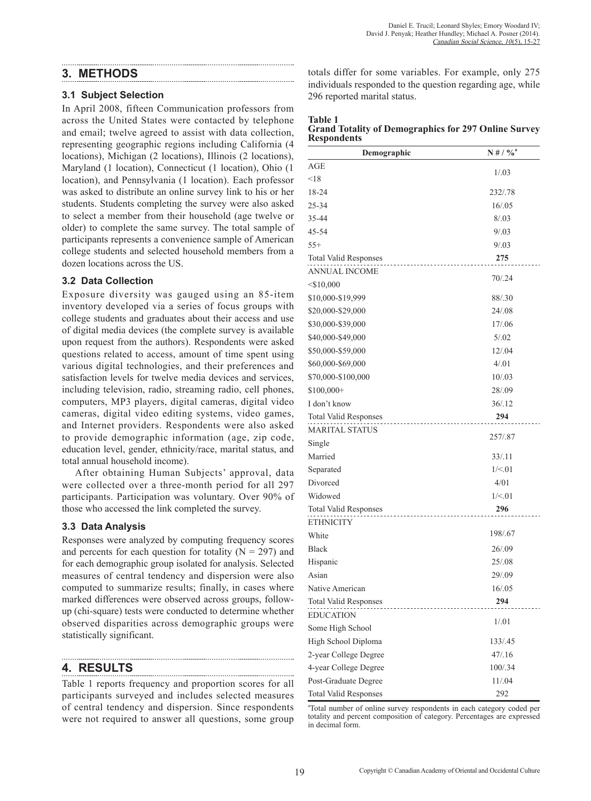### **3. METHODS**

#### **3.1 Subject Selection**

In April 2008, fifteen Communication professors from across the United States were contacted by telephone and email; twelve agreed to assist with data collection, representing geographic regions including California (4 locations), Michigan (2 locations), Illinois (2 locations), Maryland (1 location), Connecticut (1 location), Ohio (1 location), and Pennsylvania (1 location). Each professor was asked to distribute an online survey link to his or her students. Students completing the survey were also asked to select a member from their household (age twelve or older) to complete the same survey. The total sample of participants represents a convenience sample of American college students and selected household members from a dozen locations across the US.

#### **3.2 Data Collection**

Exposure diversity was gauged using an 85-item inventory developed via a series of focus groups with college students and graduates about their access and use of digital media devices (the complete survey is available upon request from the authors). Respondents were asked questions related to access, amount of time spent using various digital technologies, and their preferences and satisfaction levels for twelve media devices and services, including television, radio, streaming radio, cell phones, computers, MP3 players, digital cameras, digital video cameras, digital video editing systems, video games, and Internet providers. Respondents were also asked to provide demographic information (age, zip code, education level, gender, ethnicity/race, marital status, and total annual household income).

After obtaining Human Subjects' approval, data were collected over a three-month period for all 297 participants. Participation was voluntary. Over 90% of those who accessed the link completed the survey.

#### **3.3 Data Analysis**

Responses were analyzed by computing frequency scores and percents for each question for totality ( $N = 297$ ) and for each demographic group isolated for analysis. Selected measures of central tendency and dispersion were also computed to summarize results; finally, in cases where marked differences were observed across groups, followup (chi-square) tests were conducted to determine whether observed disparities across demographic groups were statistically significant.

## **4. RESULTS**

Table 1 reports frequency and proportion scores for all participants surveyed and includes selected measures of central tendency and dispersion. Since respondents were not required to answer all questions, some group

totals differ for some variables. For example, only 275 individuals responded to the question regarding age, while 296 reported marital status.

| <b>Table 1</b>     |                                                             |  |  |
|--------------------|-------------------------------------------------------------|--|--|
|                    | <b>Grand Totality of Demographics for 297 Online Survey</b> |  |  |
| <b>Respondents</b> |                                                             |  |  |

| Demographic                                            | $N \# / \%$ <sup>a</sup> |
|--------------------------------------------------------|--------------------------|
| AGE                                                    |                          |
| $<$ 18                                                 | 1/03                     |
| 18-24                                                  | 232/.78                  |
| 25-34                                                  | 16/.05                   |
| 35-44                                                  | 8/0.03                   |
| 45-54                                                  | 9/03                     |
| $55+$                                                  | 9/03                     |
| <b>Total Valid Responses</b><br>.                      | 275                      |
| ANNUAL INCOME                                          |                          |
| $<$ \$10,000                                           | 70/0.24                  |
| \$10,000-\$19,999                                      | 88/.30                   |
| \$20,000-\$29,000                                      | 24/.08                   |
| \$30,000-\$39,000                                      | 17/.06                   |
| \$40,000-\$49,000                                      | 5/0.02                   |
| \$50,000-\$59,000                                      | 12/.04                   |
| \$60,000-\$69,000                                      | 4/01                     |
| \$70,000-\$100,000                                     | 10/03                    |
| $$100,000+$                                            | 28/.09                   |
| I don't know                                           | 36/12                    |
| <b>Total Valid Responses</b><br>---------------------- | 294                      |
| <b>MARITAL STATUS</b>                                  |                          |
| Single                                                 | 257/.87                  |
| Married                                                | 33/11                    |
| Separated                                              | 1/ < 01                  |
| Divorced                                               | 4/01                     |
| Widowed                                                | 1/ < 01                  |
| <b>Total Valid Responses</b>                           | 296                      |
| <b>ETHNICITY</b>                                       |                          |
| White                                                  | 198/.67                  |
| <b>Black</b>                                           | 26/0.09                  |
| Hispanic                                               | 25/.08                   |
| Asian                                                  | 29/.09                   |
| Native American                                        | 16/.05                   |
| <b>Total Valid Responses</b>                           | 294                      |
| <b>EDUCATION</b>                                       |                          |
| Some High School                                       | 1/.01                    |
| High School Diploma                                    | 133/.45                  |
| 2-year College Degree                                  | 47/16                    |
| 4-year College Degree                                  | 100/.34                  |
| Post-Graduate Degree                                   | 11/.04                   |
| <b>Total Valid Responses</b>                           | 292                      |

a Total number of online survey respondents in each category coded per totality and percent composition of category. Percentages are expressed in decimal form.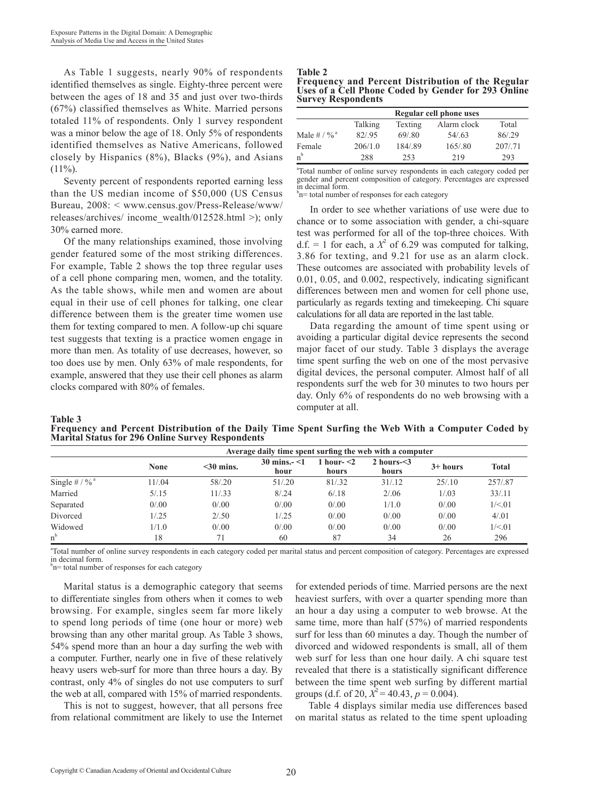As Table 1 suggests, nearly 90% of respondents identified themselves as single. Eighty-three percent were between the ages of 18 and 35 and just over two-thirds (67%) classified themselves as White. Married persons totaled 11% of respondents. Only 1 survey respondent was a minor below the age of 18. Only 5% of respondents identified themselves as Native Americans, followed closely by Hispanics (8%), Blacks (9%), and Asians  $(11\%)$ .

Seventy percent of respondents reported earning less than the US median income of \$50,000 (US Census Bureau, 2008: < www.census.gov/Press-Release/www/ releases/archives/ income\_wealth/012528.html >); only 30% earned more.

Of the many relationships examined, those involving gender featured some of the most striking differences. For example, Table 2 shows the top three regular uses of a cell phone comparing men, women, and the totality. As the table shows, while men and women are about equal in their use of cell phones for talking, one clear difference between them is the greater time women use them for texting compared to men. A follow-up chi square test suggests that texting is a practice women engage in more than men. As totality of use decreases, however, so too does use by men. Only 63% of male respondents, for example, answered that they use their cell phones as alarm clocks compared with 80% of females.

#### **Table 2**

| <b>Frequency and Percent Distribution of the Regular</b> |  |  |
|----------------------------------------------------------|--|--|
| Uses of a Cell Phone Coded by Gender for 293 Online      |  |  |
| <b>Survey Respondents</b>                                |  |  |

|                           | Regular cell phone uses                    |        |        |        |  |  |  |  |  |
|---------------------------|--------------------------------------------|--------|--------|--------|--|--|--|--|--|
|                           | Alarm clock<br>Texting<br>Total<br>Talking |        |        |        |  |  |  |  |  |
| Male # $/$ % <sup>a</sup> | 82/95                                      | 69/80  | 54/63  | 86/29  |  |  |  |  |  |
| Female                    | 206/1.0                                    | 184/89 | 165/80 | 207/71 |  |  |  |  |  |
| $n^b$                     | 288                                        | 253    | 219    | 293    |  |  |  |  |  |

a Total number of online survey respondents in each category coded per gender and percent composition of category. Percentages are expressed in decimal form.

<sup>b</sup>n= total number of responses for each category

In order to see whether variations of use were due to chance or to some association with gender, a chi-square test was performed for all of the top-three choices. With  $d.f. = 1$  for each, a  $X^2$  of 6.29 was computed for talking, 3.86 for texting, and 9.21 for use as an alarm clock. These outcomes are associated with probability levels of 0.01, 0.05, and 0.002, respectively, indicating significant differences between men and women for cell phone use, particularly as regards texting and timekeeping. Chi square calculations for all data are reported in the last table.

Data regarding the amount of time spent using or avoiding a particular digital device represents the second major facet of our study. Table 3 displays the average time spent surfing the web on one of the most pervasive digital devices, the personal computer. Almost half of all respondents surf the web for 30 minutes to two hours per day. Only 6% of respondents do no web browsing with a computer at all.

#### **Table 3**

**Frequency and Percent Distribution of the Daily Time Spent Surfing the Web With a Computer Coded by Marital Status for 296 Online Survey Respondents**

|                             | Average daily time spent surfing the web with a computer |              |                                |                        |                         |            |              |  |  |  |
|-----------------------------|----------------------------------------------------------|--------------|--------------------------------|------------------------|-------------------------|------------|--------------|--|--|--|
|                             | None                                                     | $<$ 30 mins. | $30 \text{ mins.} < 1$<br>hour | 1 hour- $<$ 2<br>hours | 2 hours $\leq$<br>hours | $3+ hours$ | <b>Total</b> |  |  |  |
| Single # $/$ % <sup>a</sup> | 11/.04                                                   | 58/.20       | 51/0.20                        | 81/.32                 | 31/12                   | 25/10      | 257/.87      |  |  |  |
| Married                     | 5/15                                                     | 11/33        | 8/24                           | 6/18                   | 2/0.06                  | 1/03       | 33/11        |  |  |  |
| Separated                   | 0/0.00                                                   | 0/0.00       | 0/0.00                         | 0/0.00                 | 1/1.0                   | 0/0.00     | 1/ < 01      |  |  |  |
| Divorced                    | 1/25                                                     | 2/0.50       | 1/0.25                         | 0/0.00                 | 0/0.00                  | 0/0.00     | 4/01         |  |  |  |
| Widowed                     | 1/1.0                                                    | 0/0.00       | 0/0.00                         | 0/0.00                 | 0/0.00                  | 0/0.00     | 1/ < 01      |  |  |  |
| $n^{b}$                     | 18                                                       | 71           | 60                             | 87                     | 34                      | 26         | 296          |  |  |  |

a Total number of online survey respondents in each category coded per marital status and percent composition of category. Percentages are expressed in decimal form.

<sup>b</sup>n= total number of responses for each category

Marital status is a demographic category that seems to differentiate singles from others when it comes to web browsing. For example, singles seem far more likely to spend long periods of time (one hour or more) web browsing than any other marital group. As Table 3 shows, 54% spend more than an hour a day surfing the web with a computer. Further, nearly one in five of these relatively heavy users web-surf for more than three hours a day. By contrast, only 4% of singles do not use computers to surf the web at all, compared with 15% of married respondents.

This is not to suggest, however, that all persons free from relational commitment are likely to use the Internet

for extended periods of time. Married persons are the next heaviest surfers, with over a quarter spending more than an hour a day using a computer to web browse. At the same time, more than half (57%) of married respondents surf for less than 60 minutes a day. Though the number of divorced and widowed respondents is small, all of them web surf for less than one hour daily. A chi square test revealed that there is a statistically significant difference between the time spent web surfing by different martial groups (d.f. of 20,  $X^2 = 40.43$ ,  $p = 0.004$ ).

Table 4 displays similar media use differences based on marital status as related to the time spent uploading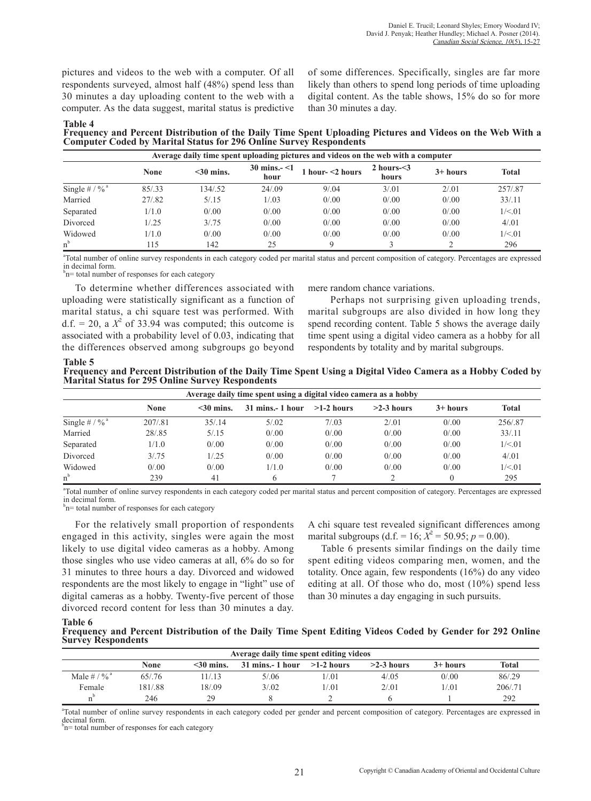pictures and videos to the web with a computer. Of all respondents surveyed, almost half (48%) spend less than 30 minutes a day uploading content to the web with a computer. As the data suggest, marital status is predictive of some differences. Specifically, singles are far more likely than others to spend long periods of time uploading digital content. As the table shows, 15% do so for more than 30 minutes a day.

**Table 4 Frequency and Percent Distribution of the Daily Time Spent Uploading Pictures and Videos on the Web With a Computer Coded by Marital Status for 296 Online Survey Respondents**

|                             | Average daily time spent uploading pictures and videos on the web with a computer |              |                         |                     |                            |            |              |  |  |  |
|-----------------------------|-----------------------------------------------------------------------------------|--------------|-------------------------|---------------------|----------------------------|------------|--------------|--|--|--|
|                             | <b>None</b>                                                                       | $<$ 30 mins. | 30 mins. $-$ <1<br>hour | 1 hour- $<$ 2 hours | 2 hours- $\leq$ 3<br>hours | $3+ hours$ | <b>Total</b> |  |  |  |
| Single # $/$ % <sup>a</sup> | 85/33                                                                             | 134/52       | 24/.09                  | 9/0.04              | 3/0.01                     | 2/01       | 257/87       |  |  |  |
| Married                     | 27/.82                                                                            | 5/15         | 1/0.03                  | 0/0.00              | 0/0.00                     | 0/0.00     | 33/11        |  |  |  |
| Separated                   | 1/1.0                                                                             | 0/0.00       | 0/0.00                  | 0/0.00              | 0/0.00                     | 0/0.00     | 1/ < 01      |  |  |  |
| Divorced                    | 1/25                                                                              | 3/0.75       | 0/0.00                  | 0/0.00              | 0/0.00                     | 0/0.00     | 4/01         |  |  |  |
| Widowed                     | 1/1.0                                                                             | 0/0.00       | 0/0.00                  | 0/0.00              | 0/0.00                     | 0/0.00     | 1/5.01       |  |  |  |
| $n^{\rm b}$                 | .15                                                                               | 142          | 25                      | Q                   |                            |            | 296          |  |  |  |

a Total number of online survey respondents in each category coded per marital status and percent composition of category. Percentages are expressed in decimal form.

<sup>b</sup>n= total number of responses for each category

To determine whether differences associated with uploading were statistically significant as a function of marital status, a chi square test was performed. With  $d.f. = 20$ , a  $X^2$  of 33.94 was computed; this outcome is associated with a probability level of 0.03, indicating that the differences observed among subgroups go beyond mere random chance variations.

Perhaps not surprising given uploading trends, marital subgroups are also divided in how long they spend recording content. Table 5 shows the average daily time spent using a digital video camera as a hobby for all respondents by totality and by marital subgroups.

**Table 5 Frequency and Percent Distribution of the Daily Time Spent Using a Digital Video Camera as a Hobby Coded by Marital Status for 295 Online Survey Respondents**

| Average daily time spent using a digital video camera as a hobby |             |              |                 |              |              |            |              |  |  |
|------------------------------------------------------------------|-------------|--------------|-----------------|--------------|--------------|------------|--------------|--|--|
|                                                                  | <b>None</b> | $<$ 30 mins. | 31 mins.-1 hour | $>1-2$ hours | $>2-3$ hours | $3+ hours$ | <b>Total</b> |  |  |
| Single # $/$ % <sup>a</sup>                                      | 207/81      | 35/14        | 5/0.02          | 7/03         | 2/0.01       | 0/0.00     | 256/.87      |  |  |
| Married                                                          | 28/85       | 5/15         | 0/0.00          | 0/0.00       | 0/0.00       | 0/0.00     | 33/11        |  |  |
| Separated                                                        | 1/1.0       | 0/0.00       | 0/0.00          | 0/0.00       | 0/0.00       | 0/0.00     | 1/ < 01      |  |  |
| Divorced                                                         | 3/0.75      | 1/25         | 0/0.00          | 0/0.00       | 0/0.00       | 0/0.00     | 4/01         |  |  |
| Widowed                                                          | 0/0.00      | 0/0.00       | 1/1.0           | 0/0.00       | 0/0.00       | 0/0.00     | 1/ < 01      |  |  |
| $n^{\rm b}$                                                      | 239         | 41           |                 |              |              |            | 295          |  |  |

a Total number of online survey respondents in each category coded per marital status and percent composition of category. Percentages are expressed in decimal form.

<sup>b</sup>n= total number of responses for each category

For the relatively small proportion of respondents engaged in this activity, singles were again the most likely to use digital video cameras as a hobby. Among those singles who use video cameras at all, 6% do so for 31 minutes to three hours a day. Divorced and widowed respondents are the most likely to engage in "light" use of digital cameras as a hobby. Twenty-five percent of those divorced record content for less than 30 minutes a day.

A chi square test revealed significant differences among marital subgroups (d.f. = 16;  $X^2$  = 50.95;  $p$  = 0.00).

Table 6 presents similar findings on the daily time spent editing videos comparing men, women, and the totality. Once again, few respondents (16%) do any video editing at all. Of those who do, most (10%) spend less than 30 minutes a day engaging in such pursuits.

**Table 6**

**Frequency and Percent Distribution of the Daily Time Spent Editing Videos Coded by Gender for 292 Online Survey Respondents**

| Average daily time spent editing videos                                                                                      |        |       |        |       |        |        |         |  |  |
|------------------------------------------------------------------------------------------------------------------------------|--------|-------|--------|-------|--------|--------|---------|--|--|
| None<br><b>Total</b><br>$>2-3$ hours<br>$31 \text{ mins} - 1 \text{ hour} > 1-2 \text{ hours}$<br>$<$ 30 mins.<br>$3+ hours$ |        |       |        |       |        |        |         |  |  |
| Male # $/$ % <sup>a</sup>                                                                                                    | 65/76  | 1/13  | 5/0.06 | 1/.01 | 4/0.05 | 0/0.00 | 86/.29  |  |  |
| Female                                                                                                                       | 181/88 | 18/09 | 3/02   | 1/.01 | 2/01   | 1/.01  | 206/.71 |  |  |
|                                                                                                                              | 246    | 29    |        |       |        |        | 292     |  |  |

a Total number of online survey respondents in each category coded per gender and percent composition of category. Percentages are expressed in decimal form.

<sup>b</sup>n= total number of responses for each category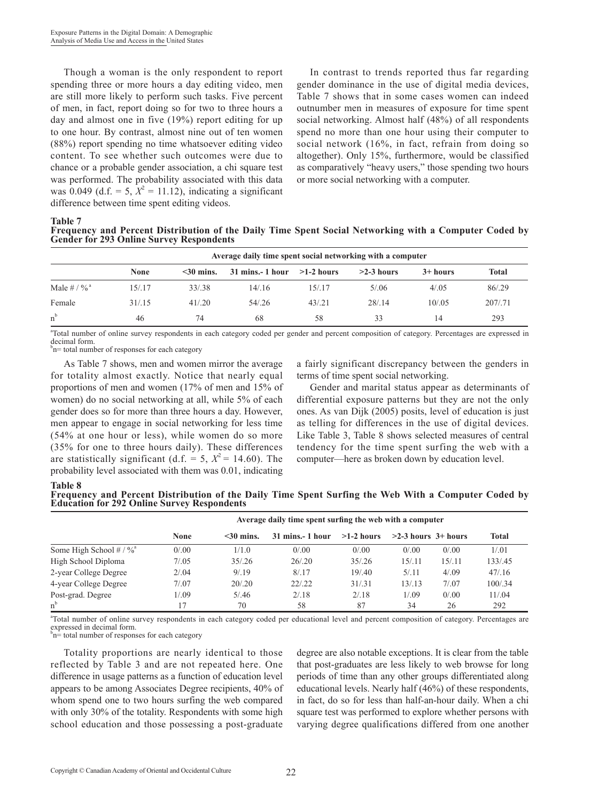Though a woman is the only respondent to report spending three or more hours a day editing video, men are still more likely to perform such tasks. Five percent of men, in fact, report doing so for two to three hours a day and almost one in five (19%) report editing for up to one hour. By contrast, almost nine out of ten women (88%) report spending no time whatsoever editing video content. To see whether such outcomes were due to chance or a probable gender association, a chi square test was performed. The probability associated with this data was 0.049 (d.f. = 5,  $X^2 = 11.12$ ), indicating a significant difference between time spent editing videos.

In contrast to trends reported thus far regarding gender dominance in the use of digital media devices, Table 7 shows that in some cases women can indeed outnumber men in measures of exposure for time spent social networking. Almost half (48%) of all respondents spend no more than one hour using their computer to social network (16%, in fact, refrain from doing so altogether). Only 15%, furthermore, would be classified as comparatively "heavy users," those spending two hours or more social networking with a computer.

**Table 7**

**Frequency and Percent Distribution of the Daily Time Spent Social Networking with a Computer Coded by Gender for 293 Online Survey Respondents**

|                           | Average daily time spent social networking with a computer |                 |                 |              |              |            |         |  |  |  |
|---------------------------|------------------------------------------------------------|-----------------|-----------------|--------------|--------------|------------|---------|--|--|--|
|                           | None                                                       | $\leq$ 30 mins. | 31 mins.-1 hour | $>1-2$ hours | $>2-3$ hours | $3+ hours$ | Total   |  |  |  |
| Male # $/$ % <sup>a</sup> | 15/.17                                                     | 33/38           | 14/16           | 15/.17       | 5/0.06       | 4/0.05     | 86/.29  |  |  |  |
| Female                    | 31/15                                                      | 41/20           | 54/26           | 43/0.21      | 28/14        | 10/0.05    | 207/.71 |  |  |  |
| $n^{b}$                   | 46                                                         | 74              | 68              | 58           | 33           | 14         | 293     |  |  |  |

a Total number of online survey respondents in each category coded per gender and percent composition of category. Percentages are expressed in decimal form.

<sup>b</sup>n= total number of responses for each category

As Table 7 shows, men and women mirror the average for totality almost exactly. Notice that nearly equal proportions of men and women (17% of men and 15% of women) do no social networking at all, while 5% of each gender does so for more than three hours a day. However, men appear to engage in social networking for less time (54% at one hour or less), while women do so more (35% for one to three hours daily). These differences are statistically significant (d.f. = 5,  $X^2$  = 14.60). The probability level associated with them was 0.01, indicating

a fairly significant discrepancy between the genders in terms of time spent social networking.

Gender and marital status appear as determinants of differential exposure patterns but they are not the only ones. As van Dijk (2005) posits, level of education is just as telling for differences in the use of digital devices. Like Table 3, Table 8 shows selected measures of central tendency for the time spent surfing the web with a computer—here as broken down by education level.

**Table 8 Frequency and Percent Distribution of the Daily Time Spent Surfing the Web With a Computer Coded by Education for 292 Online Survey Respondents**

|                                         | Average daily time spent surfing the web with a computer |              |                    |              |                         |        |              |  |  |  |
|-----------------------------------------|----------------------------------------------------------|--------------|--------------------|--------------|-------------------------|--------|--------------|--|--|--|
|                                         | <b>None</b>                                              | $<$ 30 mins. | $31$ mins.- 1 hour | $>1-2$ hours | $>2-3$ hours $3+$ hours |        | <b>Total</b> |  |  |  |
| Some High School $\# / \%$ <sup>a</sup> | 0/0.00                                                   | 1/1.0        | 0/0.00             | 0/0.00       | 0/0.00                  | 0/0.00 | 1/0.01       |  |  |  |
| High School Diploma                     | 7/0.05                                                   | 35/0.26      | 26/0.20            | 35/0.26      | 15/11                   | 15/11  | 133/.45      |  |  |  |
| 2-year College Degree                   | 2/0.04                                                   | 9/19         | 8/17               | 19/0.40      | 5/11                    | 4/0.09 | 47/16        |  |  |  |
| 4-year College Degree                   | 7/07                                                     | 20/0.20      | 22/22              | 31/31        | 13/13                   | 7/0.07 | 100/.34      |  |  |  |
| Post-grad. Degree                       | 1/0.09                                                   | 5/0.46       | 2/18               | 2/18         | 1/0.09                  | 0/0.00 | 11/04        |  |  |  |
| $n^{b}$                                 |                                                          | 70           | 58                 | 87           | 34                      | 26     | 292          |  |  |  |

a Total number of online survey respondents in each category coded per educational level and percent composition of category. Percentages are expressed in decimal form.<br><sup>b</sup>n= total number of responses for each category

Totality proportions are nearly identical to those reflected by Table 3 and are not repeated here. One difference in usage patterns as a function of education level appears to be among Associates Degree recipients, 40% of whom spend one to two hours surfing the web compared with only 30% of the totality. Respondents with some high school education and those possessing a post-graduate

degree are also notable exceptions. It is clear from the table that post-graduates are less likely to web browse for long periods of time than any other groups differentiated along educational levels. Nearly half (46%) of these respondents, in fact, do so for less than half-an-hour daily. When a chi square test was performed to explore whether persons with varying degree qualifications differed from one another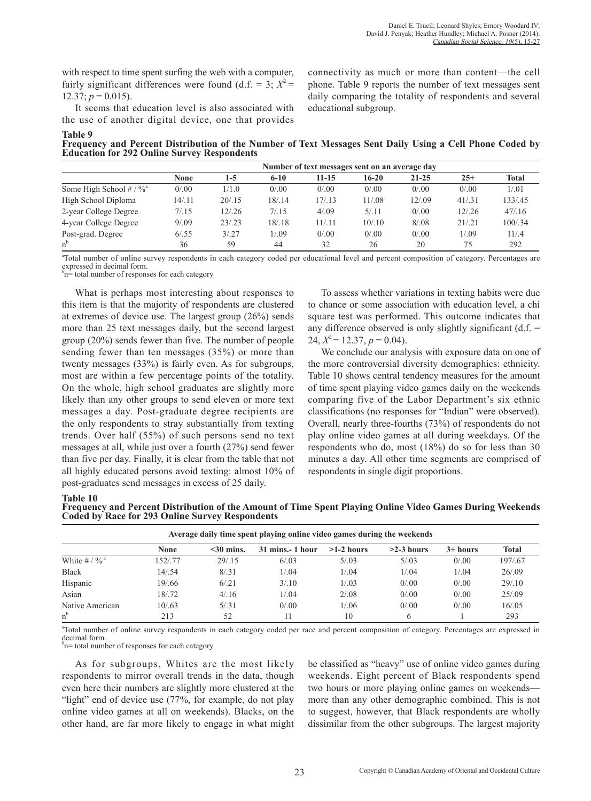with respect to time spent surfing the web with a computer, fairly significant differences were found (d.f.  $=$  3;  $X^2$  =  $12.37$ ;  $p = 0.015$ ).

It seems that education level is also associated with the use of another digital device, one that provides connectivity as much or more than content—the cell phone. Table 9 reports the number of text messages sent daily comparing the totality of respondents and several educational subgroup.

**Table 9 Frequency and Percent Distribution of the Number of Text Messages Sent Daily Using a Cell Phone Coded by Education for 292 Online Survey Respondents**

|                                         | Number of text messages sent on an average day |         |          |        |         |           |         |              |  |
|-----------------------------------------|------------------------------------------------|---------|----------|--------|---------|-----------|---------|--------------|--|
|                                         | <b>None</b>                                    | 1-5     | $6 - 10$ | 11-15  | $16-20$ | $21 - 25$ | $25+$   | <b>Total</b> |  |
| Some High School $\# / \%$ <sup>a</sup> | 0/0.00                                         | 1/1.0   | 0/0.00   | 0/0.00 | 0/0.00  | 0/0.00    | 0/0.00  | 1/0.01       |  |
| High School Diploma                     | 14/.11                                         | 20/15   | 18/.14   | 17/13  | 11/.08  | 12/.09    | 41/31   | 133/.45      |  |
| 2-year College Degree                   | 7/0.15                                         | 12/0.26 | 7/0.15   | 4/0.09 | 5/11    | 0/0.00    | 12/0.26 | 47/16        |  |
| 4-year College Degree                   | 9/0.09                                         | 23/23   | 18/18    | 11/11  | 10/10   | 8/0.08    | 21/21   | 100/.34      |  |
| Post-grad. Degree                       | 6/0.55                                         | 3/0.27  | 1/0.09   | 0/0.00 | 0/0.00  | 0/0.00    | 1/.09   | 11/4         |  |
|                                         | 36                                             | 59      | 44       | 32     | 26      | 20        | 75      | 292          |  |

a Total number of online survey respondents in each category coded per educational level and percent composition of category. Percentages are expressed in decimal form.

 $b_n$ = total number of responses for each category

What is perhaps most interesting about responses to this item is that the majority of respondents are clustered at extremes of device use. The largest group (26%) sends more than 25 text messages daily, but the second largest group (20%) sends fewer than five. The number of people sending fewer than ten messages (35%) or more than twenty messages (33%) is fairly even. As for subgroups, most are within a few percentage points of the totality. On the whole, high school graduates are slightly more likely than any other groups to send eleven or more text messages a day. Post-graduate degree recipients are the only respondents to stray substantially from texting trends. Over half (55%) of such persons send no text messages at all, while just over a fourth (27%) send fewer than five per day. Finally, it is clear from the table that not all highly educated persons avoid texting: almost 10% of post-graduates send messages in excess of 25 daily.

To assess whether variations in texting habits were due to chance or some association with education level, a chi square test was performed. This outcome indicates that any difference observed is only slightly significant  $(d.f. =$ 24,  $X^2 = 12.37$ ,  $p = 0.04$ ).

We conclude our analysis with exposure data on one of the more controversial diversity demographics: ethnicity. Table 10 shows central tendency measures for the amount of time spent playing video games daily on the weekends comparing five of the Labor Department's six ethnic classifications (no responses for "Indian" were observed). Overall, nearly three-fourths (73%) of respondents do not play online video games at all during weekdays. Of the respondents who do, most (18%) do so for less than 30 minutes a day. All other time segments are comprised of respondents in single digit proportions.

#### **Table 10**

**Frequency and Percent Distribution of the Amount of Time Spent Playing Online Video Games During Weekends Coded by Race for 293 Online Survey Respondents**

| Average daily time spent playing online video games during the weekends |             |                 |                    |              |              |            |              |  |  |
|-------------------------------------------------------------------------|-------------|-----------------|--------------------|--------------|--------------|------------|--------------|--|--|
|                                                                         | <b>None</b> | $\leq$ 30 mins. | $31$ mins.- 1 hour | $>1-2$ hours | $>2-3$ hours | $3+ hours$ | <b>Total</b> |  |  |
| White $\# / \%$ <sup>a</sup>                                            | 152/.77     | 29/15           | 6/0.03             | 5/0.03       | 5/0.03       | 0/0.00     | 197/.67      |  |  |
| <b>Black</b>                                                            | 14/.54      | 8/31            | 1/0.04             | 1/0.04       | 1/0.04       | 1/0.04     | 26/0.09      |  |  |
| Hispanic                                                                | 19/.66      | 6/21            | 3/10               | 1/0.03       | 0/0.00       | 0/0.00     | 29/10        |  |  |
| Asian                                                                   | 18/.72      | 4/16            | 1/0.04             | 2/0.08       | 0/0.00       | 0/0.00     | 25/0.09      |  |  |
| Native American                                                         | 10/0.63     | 5/31            | 0/0.00             | 1/0.06       | 0/0.00       | 0/0.00     | 16/0.05      |  |  |
| $n^b$                                                                   | 213         | 52              |                    | 10           | 6            |            | 293          |  |  |

a Total number of online survey respondents in each category coded per race and percent composition of category. Percentages are expressed in decimal form.

<sup>b</sup>n= total number of responses for each category

As for subgroups, Whites are the most likely respondents to mirror overall trends in the data, though even here their numbers are slightly more clustered at the "light" end of device use (77%, for example, do not play online video games at all on weekends). Blacks, on the other hand, are far more likely to engage in what might be classified as "heavy" use of online video games during weekends. Eight percent of Black respondents spend two hours or more playing online games on weekends more than any other demographic combined. This is not to suggest, however, that Black respondents are wholly dissimilar from the other subgroups. The largest majority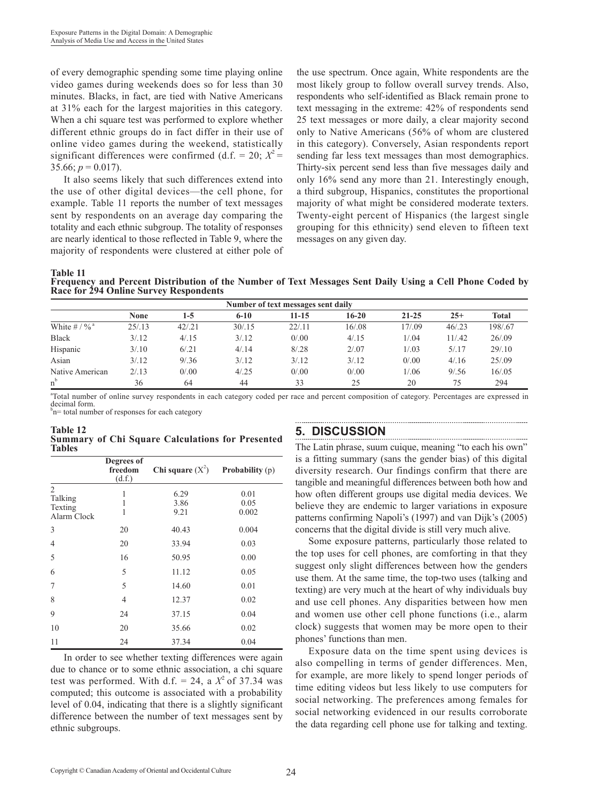of every demographic spending some time playing online video games during weekends does so for less than 30 minutes. Blacks, in fact, are tied with Native Americans at 31% each for the largest majorities in this category. When a chi square test was performed to explore whether different ethnic groups do in fact differ in their use of online video games during the weekend, statistically significant differences were confirmed (d.f. = 20;  $X^2$  = 35.66;  $p = 0.017$ ).

It also seems likely that such differences extend into the use of other digital devices—the cell phone, for example. Table 11 reports the number of text messages sent by respondents on an average day comparing the totality and each ethnic subgroup. The totality of responses are nearly identical to those reflected in Table 9, where the majority of respondents were clustered at either pole of

the use spectrum. Once again, White respondents are the most likely group to follow overall survey trends. Also, respondents who self-identified as Black remain prone to text messaging in the extreme: 42% of respondents send 25 text messages or more daily, a clear majority second only to Native Americans (56% of whom are clustered in this category). Conversely, Asian respondents report sending far less text messages than most demographics. Thirty-six percent send less than five messages daily and only 16% send any more than 21. Interestingly enough, a third subgroup, Hispanics, constitutes the proportional majority of what might be considered moderate texters. Twenty-eight percent of Hispanics (the largest single grouping for this ethnicity) send eleven to fifteen text messages on any given day.

**Table 11**

**Frequency and Percent Distribution of the Number of Text Messages Sent Daily Using a Cell Phone Coded by Race for 294 Online Survey Respondents**

| Number of text messages sent daily |             |         |          |           |        |           |         |              |  |
|------------------------------------|-------------|---------|----------|-----------|--------|-----------|---------|--------------|--|
|                                    | <b>None</b> | $1-5$   | $6 - 10$ | $11 - 15$ | 16-20  | $21 - 25$ | $25+$   | <b>Total</b> |  |
| White $\# / \%$ <sup>a</sup>       | 25/13       | 42/0.21 | 30/0.15  | 22/11     | 16/.08 | 17/.09    | 46/0.23 | 198/.67      |  |
| <b>Black</b>                       | 3/12        | 4/15    | 3/12     | 0/0.00    | 4/15   | 1/0.04    | 11/.42  | 26/0.09      |  |
| Hispanic                           | 3/10        | 6/0.21  | 4/14     | 8/0.28    | 2/0.07 | 1/0.03    | 5/17    | 29/10        |  |
| Asian                              | 3/12        | 9/0.36  | 3/12     | 3/12      | 3/12   | 0/0.00    | 4/16    | 25/0.09      |  |
| Native American                    | 2/13        | 0/0.00  | 4/0.25   | 0/0.00    | 0/0.00 | 1/06      | 9/0.56  | 16/0.05      |  |
| $n^{b}$                            | 36          | 64      | 44       | 33        | 25     | 20        | 75      | 294          |  |

a Total number of online survey respondents in each category coded per race and percent composition of category. Percentages are expressed in decimal form.<br><sup>b</sup>n= total number of responses for each category

**Table 12 Summary of Chi Square Calculations for Presented Tables**

|                                                     | Degrees of<br>freedom<br>(d.f.) | Chi square $(X^2)$   | <b>Probability</b> (p) |
|-----------------------------------------------------|---------------------------------|----------------------|------------------------|
| $\overline{2}$<br>Talking<br>Texting<br>Alarm Clock | 1<br>1<br>1                     | 6.29<br>3.86<br>9.21 | 0.01<br>0.05<br>0.002  |
| 3                                                   | 20                              | 40.43                | 0.004                  |
| 4                                                   | 20                              | 33.94                | 0.03                   |
| 5                                                   | 16                              | 50.95                | 0.00                   |
| 6                                                   | 5                               | 11.12                | 0.05                   |
| 7                                                   | 5                               | 14.60                | 0.01                   |
| 8                                                   | 4                               | 12.37                | 0.02                   |
| 9                                                   | 24                              | 37.15                | 0.04                   |
| 10                                                  | 20                              | 35.66                | 0.02                   |
| 11                                                  | 24                              | 37.34                | 0.04                   |

In order to see whether texting differences were again due to chance or to some ethnic association, a chi square test was performed. With d.f. = 24, a  $X^2$  of 37.34 was computed; this outcome is associated with a probability level of 0.04, indicating that there is a slightly significant difference between the number of text messages sent by ethnic subgroups.

### **5. DISCUSSION**

The Latin phrase, suum cuique, meaning "to each his own" is a fitting summary (sans the gender bias) of this digital diversity research. Our findings confirm that there are tangible and meaningful differences between both how and how often different groups use digital media devices. We believe they are endemic to larger variations in exposure patterns confirming Napoli's (1997) and van Dijk's (2005) concerns that the digital divide is still very much alive.

Some exposure patterns, particularly those related to the top uses for cell phones, are comforting in that they suggest only slight differences between how the genders use them. At the same time, the top-two uses (talking and texting) are very much at the heart of why individuals buy and use cell phones. Any disparities between how men and women use other cell phone functions (i.e., alarm clock) suggests that women may be more open to their phones' functions than men.

Exposure data on the time spent using devices is also compelling in terms of gender differences. Men, for example, are more likely to spend longer periods of time editing videos but less likely to use computers for social networking. The preferences among females for social networking evidenced in our results corroborate the data regarding cell phone use for talking and texting.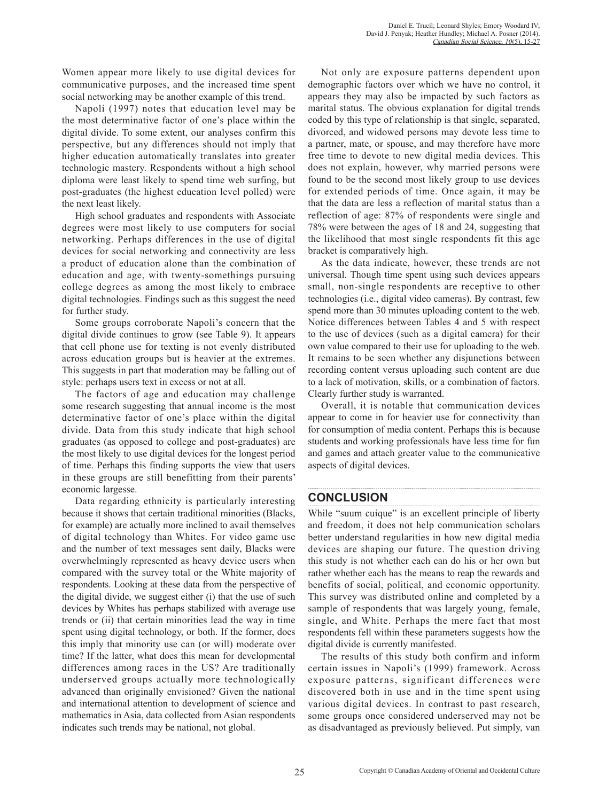Women appear more likely to use digital devices for communicative purposes, and the increased time spent social networking may be another example of this trend.

Napoli (1997) notes that education level may be the most determinative factor of one's place within the digital divide. To some extent, our analyses confirm this perspective, but any differences should not imply that higher education automatically translates into greater technologic mastery. Respondents without a high school diploma were least likely to spend time web surfing, but post-graduates (the highest education level polled) were the next least likely.

High school graduates and respondents with Associate degrees were most likely to use computers for social networking. Perhaps differences in the use of digital devices for social networking and connectivity are less a product of education alone than the combination of education and age, with twenty-somethings pursuing college degrees as among the most likely to embrace digital technologies. Findings such as this suggest the need for further study.

Some groups corroborate Napoli's concern that the digital divide continues to grow (see Table 9). It appears that cell phone use for texting is not evenly distributed across education groups but is heavier at the extremes. This suggests in part that moderation may be falling out of style: perhaps users text in excess or not at all.

The factors of age and education may challenge some research suggesting that annual income is the most determinative factor of one's place within the digital divide. Data from this study indicate that high school graduates (as opposed to college and post-graduates) are the most likely to use digital devices for the longest period of time. Perhaps this finding supports the view that users in these groups are still benefitting from their parents' economic largesse.

Data regarding ethnicity is particularly interesting because it shows that certain traditional minorities (Blacks, for example) are actually more inclined to avail themselves of digital technology than Whites. For video game use and the number of text messages sent daily, Blacks were overwhelmingly represented as heavy device users when compared with the survey total or the White majority of respondents. Looking at these data from the perspective of the digital divide, we suggest either (i) that the use of such devices by Whites has perhaps stabilized with average use trends or (ii) that certain minorities lead the way in time spent using digital technology, or both. If the former, does this imply that minority use can (or will) moderate over time? If the latter, what does this mean for developmental differences among races in the US? Are traditionally underserved groups actually more technologically advanced than originally envisioned? Given the national and international attention to development of science and mathematics in Asia, data collected from Asian respondents indicates such trends may be national, not global.

Not only are exposure patterns dependent upon demographic factors over which we have no control, it appears they may also be impacted by such factors as marital status. The obvious explanation for digital trends coded by this type of relationship is that single, separated, divorced, and widowed persons may devote less time to a partner, mate, or spouse, and may therefore have more free time to devote to new digital media devices. This does not explain, however, why married persons were found to be the second most likely group to use devices for extended periods of time. Once again, it may be that the data are less a reflection of marital status than a reflection of age: 87% of respondents were single and 78% were between the ages of 18 and 24, suggesting that the likelihood that most single respondents fit this age bracket is comparatively high.

As the data indicate, however, these trends are not universal. Though time spent using such devices appears small, non-single respondents are receptive to other technologies (i.e., digital video cameras). By contrast, few spend more than 30 minutes uploading content to the web. Notice differences between Tables 4 and 5 with respect to the use of devices (such as a digital camera) for their own value compared to their use for uploading to the web. It remains to be seen whether any disjunctions between recording content versus uploading such content are due to a lack of motivation, skills, or a combination of factors. Clearly further study is warranted.

Overall, it is notable that communication devices appear to come in for heavier use for connectivity than for consumption of media content. Perhaps this is because students and working professionals have less time for fun and games and attach greater value to the communicative aspects of digital devices.

#### **CONCLUSION**

While "suum cuique" is an excellent principle of liberty and freedom, it does not help communication scholars better understand regularities in how new digital media devices are shaping our future. The question driving this study is not whether each can do his or her own but rather whether each has the means to reap the rewards and benefits of social, political, and economic opportunity. This survey was distributed online and completed by a sample of respondents that was largely young, female, single, and White. Perhaps the mere fact that most respondents fell within these parameters suggests how the digital divide is currently manifested.

The results of this study both confirm and inform certain issues in Napoli's (1999) framework. Across exposure patterns, significant differences were discovered both in use and in the time spent using various digital devices. In contrast to past research, some groups once considered underserved may not be as disadvantaged as previously believed. Put simply, van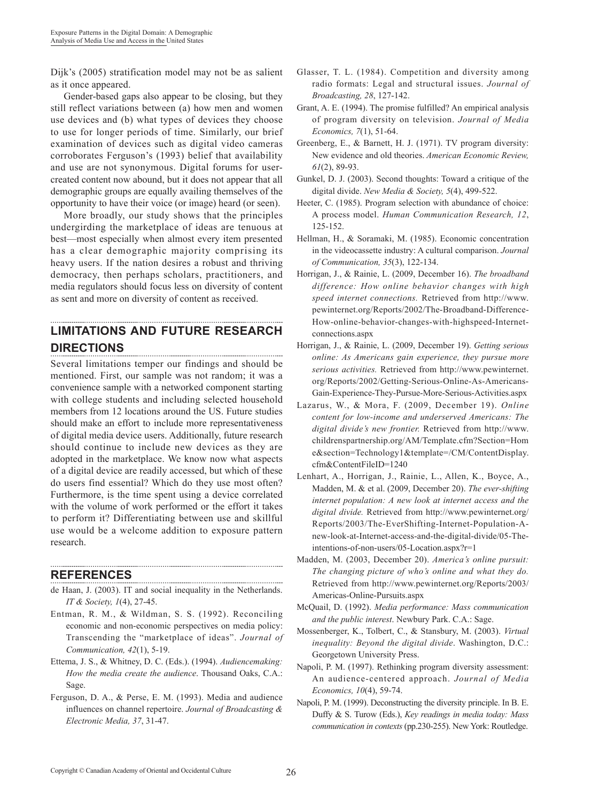Dijk's (2005) stratification model may not be as salient as it once appeared.

Gender-based gaps also appear to be closing, but they still reflect variations between (a) how men and women use devices and (b) what types of devices they choose to use for longer periods of time. Similarly, our brief examination of devices such as digital video cameras corroborates Ferguson's (1993) belief that availability and use are not synonymous. Digital forums for usercreated content now abound, but it does not appear that all demographic groups are equally availing themselves of the opportunity to have their voice (or image) heard (or seen).

More broadly, our study shows that the principles undergirding the marketplace of ideas are tenuous at best—most especially when almost every item presented has a clear demographic majority comprising its heavy users. If the nation desires a robust and thriving democracy, then perhaps scholars, practitioners, and media regulators should focus less on diversity of content as sent and more on diversity of content as received.

# **LIMITATIONS AND FUTURE RESEARCH DIRECTIONS**

Several limitations temper our findings and should be mentioned. First, our sample was not random; it was a convenience sample with a networked component starting with college students and including selected household members from 12 locations around the US. Future studies should make an effort to include more representativeness of digital media device users. Additionally, future research should continue to include new devices as they are adopted in the marketplace. We know now what aspects of a digital device are readily accessed, but which of these do users find essential? Which do they use most often? Furthermore, is the time spent using a device correlated with the volume of work performed or the effort it takes to perform it? Differentiating between use and skillful use would be a welcome addition to exposure pattern research.

### **REFERENCES**

- de Haan, J. (2003). IT and social inequality in the Netherlands. *IT & Society, 1*(4), 27-45.
- Entman, R. M., & Wildman, S. S. (1992). Reconciling economic and non-economic perspectives on media policy: Transcending the "marketplace of ideas". *Journal of Communication, 42*(1), 5-19.
- Ettema, J. S., & Whitney, D. C. (Eds.). (1994). *Audiencemaking: How the media create the audience*. Thousand Oaks, C.A.: Sage.
- Ferguson, D. A., & Perse, E. M. (1993). Media and audience influences on channel repertoire. *Journal of Broadcasting & Electronic Media, 37*, 31-47.
- Glasser, T. L. (1984). Competition and diversity among radio formats: Legal and structural issues. *Journal of Broadcasting, 28*, 127-142.
- Grant, A. E. (1994). The promise fulfilled? An empirical analysis of program diversity on television. *Journal of Media Economics, 7*(1), 51-64.
- Greenberg, E., & Barnett, H. J. (1971). TV program diversity: New evidence and old theories. *American Economic Review, 61*(2), 89-93.
- Gunkel, D. J. (2003). Second thoughts: Toward a critique of the digital divide. *New Media & Society, 5*(4), 499-522.
- Heeter, C. (1985). Program selection with abundance of choice: A process model. *Human Communication Research, 12*, 125-152.
- Hellman, H., & Soramaki, M. (1985). Economic concentration in the videocassette industry: A cultural comparison. *Journal of Communication, 35*(3), 122-134.
- Horrigan, J., & Rainie, L. (2009, December 16). *The broadband difference: How online behavior changes with high speed internet connections.* Retrieved from http://www. pewinternet.org/Reports/2002/The-Broadband-Difference-How-online-behavior-changes-with-highspeed-Internetconnections.aspx
- Horrigan, J., & Rainie, L. (2009, December 19). *Getting serious online: As Americans gain experience, they pursue more serious activities.* Retrieved from http://www.pewinternet. org/Reports/2002/Getting-Serious-Online-As-Americans-Gain-Experience-They-Pursue-More-Serious-Activities.aspx
- Lazarus, W., & Mora, F. (2009, December 19). *Online content for low-income and underserved Americans: The digital divide's new frontier.* Retrieved from http://www. childrenspartnership.org/AM/Template.cfm?Section=Hom e&section=Technology1&template=/CM/ContentDisplay. cfm&ContentFileID=1240
- Lenhart, A., Horrigan, J., Rainie, L., Allen, K., Boyce, A., Madden, M. & et al. (2009, December 20). *The ever-shifting internet population: A new look at internet access and the digital divide.* Retrieved from http://www.pewinternet.org/ Reports/2003/The-EverShifting-Internet-Population-Anew-look-at-Internet-access-and-the-digital-divide/05-Theintentions-of-non-users/05-Location.aspx?r=1
- Madden, M. (2003, December 20). *America's online pursuit: The changing picture of who's online and what they do.* Retrieved from http://www.pewinternet.org/Reports/2003/ Americas-Online-Pursuits.aspx
- McQuail, D. (1992). *Media performance: Mass communication and the public interest*. Newbury Park. C.A.: Sage.
- Mossenberger, K., Tolbert, C., & Stansbury, M. (2003). *Virtual inequality: Beyond the digital divide*. Washington, D.C.: Georgetown University Press.
- Napoli, P. M. (1997). Rethinking program diversity assessment: An audience-centered approach. *Journal of Media Economics, 10*(4), 59-74.
- Napoli, P. M. (1999). Deconstructing the diversity principle. In B. E. Duffy & S. Turow (Eds.), *Key readings in media today: Mass communication in contexts* (pp.230-255). New York: Routledge.